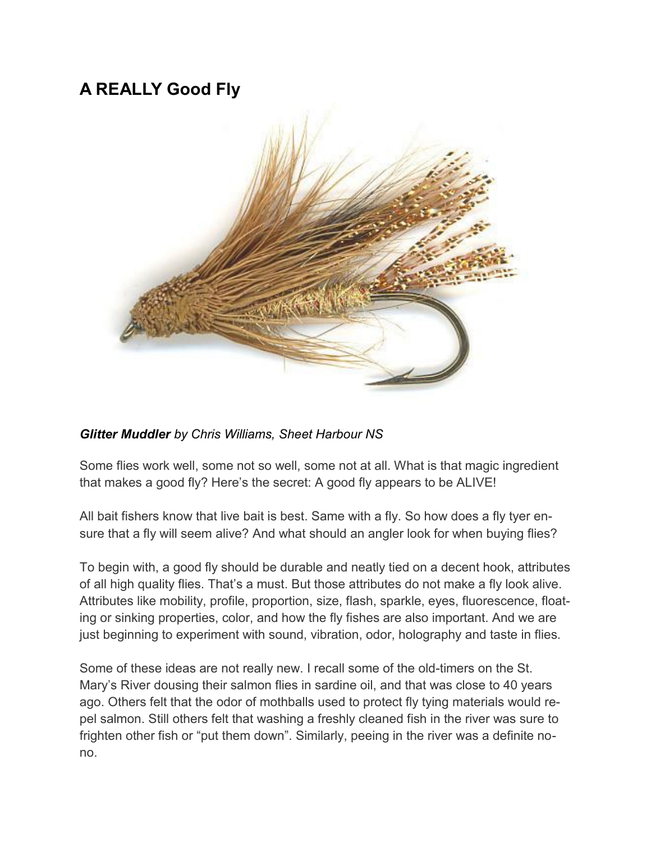## **A REALLY Good Fly**



## *Glitter Muddler by Chris Williams, Sheet Harbour NS*

Some flies work well, some not so well, some not at all. What is that magic ingredient that makes a good fly? Here's the secret: A good fly appears to be ALIVE!

All bait fishers know that live bait is best. Same with a fly. So how does a fly tyer ensure that a fly will seem alive? And what should an angler look for when buying flies?

To begin with, a good fly should be durable and neatly tied on a decent hook, attributes of all high quality flies. That's a must. But those attributes do not make a fly look alive. Attributes like mobility, profile, proportion, size, flash, sparkle, eyes, fluorescence, floating or sinking properties, color, and how the fly fishes are also important. And we are just beginning to experiment with sound, vibration, odor, holography and taste in flies.

Some of these ideas are not really new. I recall some of the old-timers on the St. Mary's River dousing their salmon flies in sardine oil, and that was close to 40 years ago. Others felt that the odor of mothballs used to protect fly tying materials would repel salmon. Still others felt that washing a freshly cleaned fish in the river was sure to frighten other fish or "put them down". Similarly, peeing in the river was a definite nono.